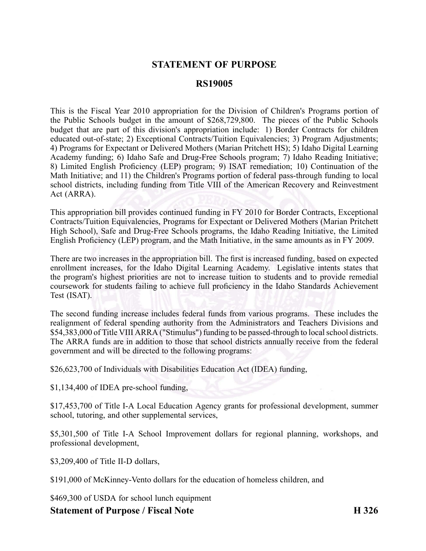### **STATEMENT OF PURPOSE**

#### **RS19005**

This is the Fiscal Year 2010 appropriation for the Division of Children's Programs portion of the Public Schools budget in the amount of \$268,729,800. The pieces of the Public Schools budget that are par<sup>t</sup> of this division's appropriation include: 1) Border Contracts for children educated out-of-state; 2) Exceptional Contracts/Tuition Equivalencies; 3) Program Adjustments; 4) Programs for Expectant or Delivered Mothers (Marian Pritchett HS); 5) Idaho Digital Learning Academy funding; 6) Idaho Safe and Drug-Free Schools program; 7) Idaho Reading Initiative; 8) Limited English Proficiency (LEP) program; 9) ISAT remediation; 10) Continuation of the Math Initiative; and 11) the Children's Programs portion of federal pass-through funding to local school districts, including funding from Title VIII of the American Recovery and Reinvestment Act (ARRA).

This appropriation bill provides continued funding in FY 2010 for Border Contracts, Exceptional Contracts/Tuition Equivalencies, Programs for Expectant or Delivered Mothers (Marian Pritchett High School), Safe and Drug-Free Schools programs, the Idaho Reading Initiative, the Limited English Proficiency (LEP) program, and the Math Initiative, in the same amounts as in FY 2009.

There are two increases in the appropriation bill. The first is increased funding, based on expected enrollment increases, for the Idaho Digital Learning Academy. Legislative intents states that the program's highest priorities are not to increase tuition to students and to provide remedial coursework for students failing to achieve full proficiency in the Idaho Standards Achievement Test (ISAT).

The second funding increase includes federal funds from various programs. These includes the realignment of federal spending authority from the Administrators and Teachers Divisions and \$54,383,000 of Title VIII ARRA ("Stimulus") funding to be passed-through to local school districts. The ARRA funds are in addition to those that school districts annually receive from the federal governmen<sup>t</sup> and will be directed to the following programs:

\$26,623,700 of Individuals with Disabilities Education Act (IDEA) funding,

 $$1,134,400$  of IDEA pre-school funding,

\$17,453,700 of Title I-A Local Education Agency grants for professional development, summer school, tutoring, and other supplemental services,

\$5,301,500 of Title I-A School Improvement dollars for regional planning, workshops, and professional development,

\$3,209,400 of Title II-D dollars,

\$191,000 of McKinney-Vento dollars for the education of homeless children, and

\$469,300 of USDA for school lunch equipment

**Statement of Purpose / Fiscal Note H 326**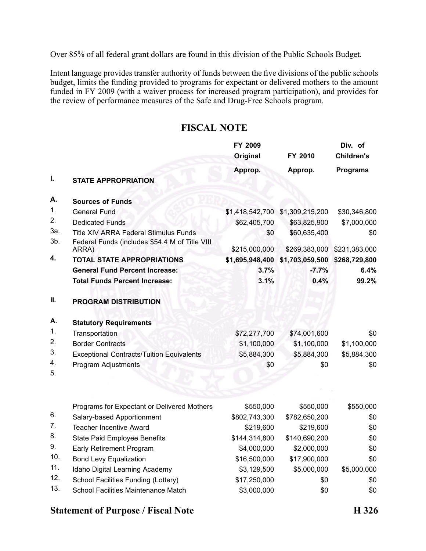Over 85% of all federal gran<sup>t</sup> dollars are found in this division of the Public Schools Budget.

Intent language provides transfer authority of funds between the five divisions of the public schools budget, limits the funding provided to programs for expectant or delivered mothers to the amount funded in FY 2009 (with <sup>a</sup> waiver process for increased program participation), and provides for the review of performance measures of the Safe and Drug-Free Schools program.

#### **FISCAL NOTE**

|            |                                                                                         | FY 2009<br>Original | FY 2010         | Div. of<br><b>Children's</b> |
|------------|-----------------------------------------------------------------------------------------|---------------------|-----------------|------------------------------|
|            |                                                                                         | Approp.             | Approp.         | <b>Programs</b>              |
| I.         | <b>STATE APPROPRIATION</b>                                                              |                     |                 |                              |
| А.         | <b>Sources of Funds</b>                                                                 |                     |                 |                              |
| 1.         | <b>General Fund</b>                                                                     | \$1,418,542,700     | \$1,309,215,200 | \$30,346,800                 |
| 2.         | <b>Dedicated Funds</b>                                                                  | \$62,405,700        | \$63,825,900    | \$7,000,000                  |
| За.<br>3b. | Title XIV ARRA Federal Stimulus Funds<br>Federal Funds (includes \$54.4 M of Title VIII | \$0                 | \$60,635,400    | \$0                          |
| 4.         | ARRA)                                                                                   | \$215,000,000       | \$269,383,000   | \$231,383,000                |
|            | <b>TOTAL STATE APPROPRIATIONS</b>                                                       | \$1,695,948,400     | \$1,703,059,500 | \$268,729,800                |
|            | <b>General Fund Percent Increase:</b>                                                   | 3.7%                | $-7.7%$         | 6.4%                         |
|            | <b>Total Funds Percent Increase:</b>                                                    | 3.1%                | 0.4%            | 99.2%                        |
| П.         | <b>PROGRAM DISTRIBUTION</b>                                                             |                     |                 |                              |
| А.         | <b>Statutory Requirements</b>                                                           |                     |                 |                              |
| 1.         | Transportation                                                                          | \$72,277,700        | \$74,001,600    | \$0                          |
| 2.         | <b>Border Contracts</b>                                                                 | \$1,100,000         | \$1,100,000     | \$1,100,000                  |
| 3.         | <b>Exceptional Contracts/Tuition Equivalents</b>                                        | \$5,884,300         | \$5,884,300     | \$5,884,300                  |
| 4.<br>5.   | Program Adjustments                                                                     | \$0                 | \$0             | \$0                          |
|            | Programs for Expectant or Delivered Mothers                                             | \$550,000           | \$550,000       | \$550,000                    |
| 6.         | Salary-based Apportionment                                                              | \$802,743,300       | \$782,650,200   | \$0                          |
| 7.         | <b>Teacher Incentive Award</b>                                                          | \$219,600           | \$219,600       | \$0                          |
| 8.         | State Paid Employee Benefits                                                            | \$144,314,800       | \$140,690,200   | \$0                          |
| 9.         | Early Retirement Program                                                                | \$4,000,000         | \$2,000,000     | \$0                          |
| 10.        | <b>Bond Levy Equalization</b>                                                           | \$16,500,000        | \$17,900,000    | \$0                          |
| 11.        | Idaho Digital Learning Academy                                                          | \$3,129,500         | \$5,000,000     | \$5,000,000                  |
| 12.        | School Facilities Funding (Lottery)                                                     | \$17,250,000        | \$0             | \$0                          |
| 13.        | School Facilities Maintenance Match                                                     | \$3,000,000         | \$0             | \$0                          |

## **Statement of Purpose / Fiscal Note H 326**